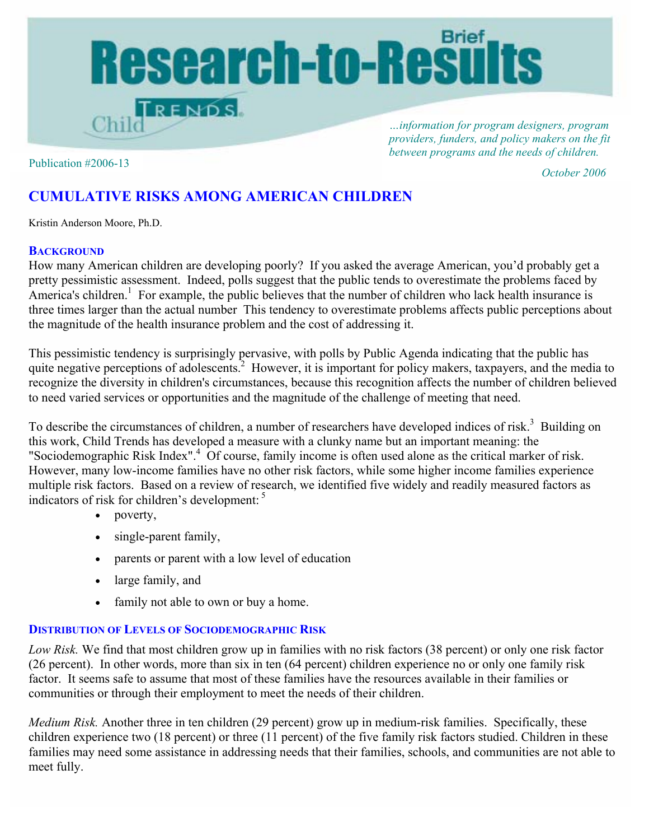

*…information for program designers, program providers, funders, and policy makers on the fit between programs and the needs of children.* 

Publication #2006-13

*October 2006*

# **CUMULATIVE RISKS AMONG AMERICAN CHILDREN**

Kristin Anderson Moore, Ph.D.

### **BACKGROUND**

How many American children are developing poorly? If you asked the average American, you'd probably get a pretty pessimistic assessment. Indeed, polls suggest that the public tends to overestimate the problems faced by America's children.<sup>1</sup> For example, the public believes that the number of children who lack health insurance is three times larger than the actual number This tendency to overestimate problems affects public perceptions about the magnitude of the health insurance problem and the cost of addressing it.

This pessimistic tendency is surprisingly pervasive, with polls by Public Agenda indicating that the public has quite negative perceptions of adolescents.<sup>2</sup> However, it is important for policy makers, taxpayers, and the media to recognize the diversity in children's circumstances, because this recognition affects the number of children believed to need varied services or opportunities and the magnitude of the challenge of meeting that need.

To describe the circumstances of children, a number of researchers have developed indices of risk.<sup>3</sup> Building on this work, Child Trends has developed a measure with a clunky name but an important meaning: the "Sociodemographic Risk Index".<sup>4</sup> Of course, family income is often used alone as the critical marker of risk. However, many low-income families have no other risk factors, while some higher income families experience multiple risk factors. Based on a review of research, we identified five widely and readily measured factors as indicators of risk for children's development: 5

- poverty,
- single-parent family,
- parents or parent with a low level of education
- large family, and
- family not able to own or buy a home.

## **DISTRIBUTION OF LEVELS OF SOCIODEMOGRAPHIC RISK**

*Low Risk.* We find that most children grow up in families with no risk factors (38 percent) or only one risk factor (26 percent). In other words, more than six in ten (64 percent) children experience no or only one family risk factor. It seems safe to assume that most of these families have the resources available in their families or communities or through their employment to meet the needs of their children.

*Medium Risk.* Another three in ten children (29 percent) grow up in medium-risk families. Specifically, these children experience two (18 percent) or three (11 percent) of the five family risk factors studied. Children in these families may need some assistance in addressing needs that their families, schools, and communities are not able to meet fully.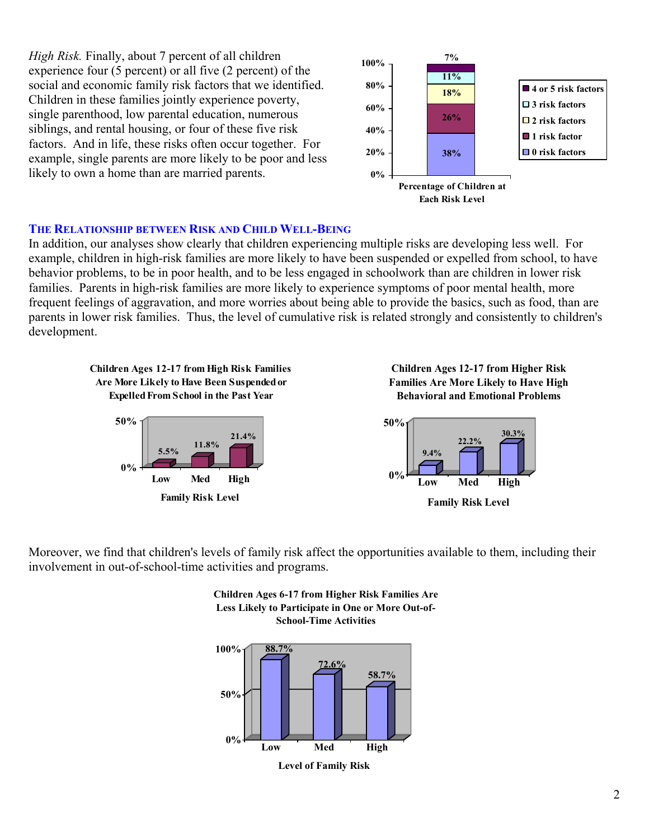*High Risk.* Finally, about 7 percent of all children experience four (5 percent) or all five (2 percent) of the social and economic family risk factors that we identified. Children in these families jointly experience poverty, single parenthood, low parental education, numerous siblings, and rental housing, or four of these five risk factors. And in life, these risks often occur together. For example, single parents are more likely to be poor and less likely to own a home than are married parents.



### **THE RELATIONSHIP BETWEEN RISK AND CHILD WELL-BEING**

In addition, our analyses show clearly that children experiencing multiple risks are developing less well. For example, children in high-risk families are more likely to have been suspended or expelled from school, to have behavior problems, to be in poor health, and to be less engaged in schoolwork than are children in lower risk families. Parents in high-risk families are more likely to experience symptoms of poor mental health, more frequent feelings of aggravation, and more worries about being able to provide the basics, such as food, than are parents in lower risk families. Thus, the level of cumulative risk is related strongly and consistently to children's development.



**Family Risk Level**





Moreover, we find that children's levels of family risk affect the opportunities available to them, including their involvement in out-of-school-time activities and programs.